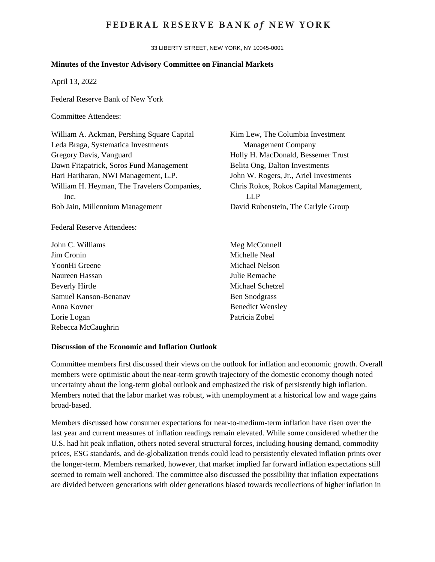## **FEDERAL RESERVE BANK of NEW YORK**

33 LIBERTY STREET, NEW YORK, NY 10045-0001

## **Minutes of the Investor Advisory Committee on Financial Markets**

April 13, 2022

Federal Reserve Bank of New York

## Committee Attendees:

William A. Ackman, Pershing Square Capital Leda Braga, Systematica Investments Gregory Davis, Vanguard Dawn Fitzpatrick, Soros Fund Management Hari Hariharan, NWI Management, L.P. William H. Heyman, The Travelers Companies, Inc. Bob Jain, Millennium Management

## Federal Reserve Attendees:

John C. Williams Jim Cronin YoonHi Greene Naureen Hassan Beverly Hirtle Samuel Kanson-Benanav Anna Kovner Lorie Logan Rebecca McCaughrin

Kim Lew, The Columbia Investment Management Company Holly H. MacDonald, Bessemer Trust Belita Ong, Dalton Investments John W. Rogers, Jr., Ariel Investments Chris Rokos, Rokos Capital Management, LLP David Rubenstein, The Carlyle Group

Meg McConnell Michelle Neal Michael Nelson Julie Remache Michael Schetzel Ben Snodgrass Benedict Wensley Patricia Zobel

#### **Discussion of the Economic and Inflation Outlook**

Committee members first discussed their views on the outlook for inflation and economic growth. Overall members were optimistic about the near-term growth trajectory of the domestic economy though noted uncertainty about the long-term global outlook and emphasized the risk of persistently high inflation. Members noted that the labor market was robust, with unemployment at a historical low and wage gains broad-based.

Members discussed how consumer expectations for near-to-medium-term inflation have risen over the last year and current measures of inflation readings remain elevated. While some considered whether the U.S. had hit peak inflation, others noted several structural forces, including housing demand, commodity prices, ESG standards, and de-globalization trends could lead to persistently elevated inflation prints over the longer-term. Members remarked, however, that market implied far forward inflation expectations still seemed to remain well anchored. The committee also discussed the possibility that inflation expectations are divided between generations with older generations biased towards recollections of higher inflation in